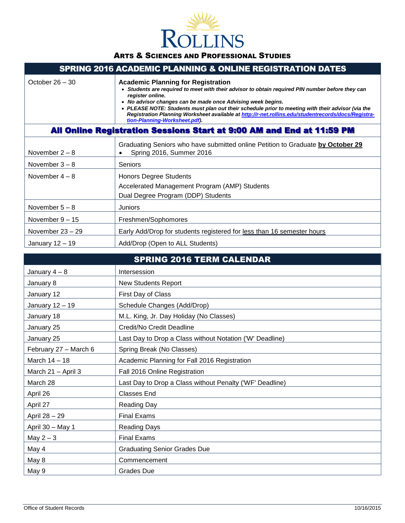

| <b>SPRING 2016 ACADEMIC PLANNING &amp; ONLINE REGISTRATION DATES</b>  |                                                                                                                                                                                                                                                                                                                                                                                                                                                                               |  |  |  |  |  |
|-----------------------------------------------------------------------|-------------------------------------------------------------------------------------------------------------------------------------------------------------------------------------------------------------------------------------------------------------------------------------------------------------------------------------------------------------------------------------------------------------------------------------------------------------------------------|--|--|--|--|--|
| October $26 - 30$                                                     | <b>Academic Planning for Registration</b><br>• Students are required to meet with their advisor to obtain required PIN number before they can<br>register online.<br>• No advisor changes can be made once Advising week begins.<br>• PLEASE NOTE: Students must plan out their schedule prior to meeting with their advisor (via the<br>Registration Planning Worksheet available at http://r-net.rollins.edu/studentrecords/docs/Registra-<br>tion-Planning-Worksheet.pdf). |  |  |  |  |  |
| All Online Registration Sessions Start at 9:00 AM and End at 11:59 PM |                                                                                                                                                                                                                                                                                                                                                                                                                                                                               |  |  |  |  |  |
| November $2 - 8$                                                      | Graduating Seniors who have submitted online Petition to Graduate by October 29<br>Spring 2016, Summer 2016                                                                                                                                                                                                                                                                                                                                                                   |  |  |  |  |  |
| November $3 - 8$                                                      | <b>Seniors</b>                                                                                                                                                                                                                                                                                                                                                                                                                                                                |  |  |  |  |  |
| November $4-8$                                                        | <b>Honors Degree Students</b><br>Accelerated Management Program (AMP) Students<br>Dual Degree Program (DDP) Students                                                                                                                                                                                                                                                                                                                                                          |  |  |  |  |  |
| November $5 - 8$                                                      | Juniors                                                                                                                                                                                                                                                                                                                                                                                                                                                                       |  |  |  |  |  |
| November $9-15$                                                       | Freshmen/Sophomores                                                                                                                                                                                                                                                                                                                                                                                                                                                           |  |  |  |  |  |
| November $23 - 29$                                                    | Early Add/Drop for students registered for less than 16 semester hours                                                                                                                                                                                                                                                                                                                                                                                                        |  |  |  |  |  |
| January $12 - 19$                                                     | Add/Drop (Open to ALL Students)                                                                                                                                                                                                                                                                                                                                                                                                                                               |  |  |  |  |  |

|                       | <b>SPRING 2016 TERM CALENDAR</b>                         |
|-----------------------|----------------------------------------------------------|
| January $4-8$         | Intersession                                             |
| January 8             | <b>New Students Report</b>                               |
| January 12            | First Day of Class                                       |
| January 12 - 19       | Schedule Changes (Add/Drop)                              |
| January 18            | M.L. King, Jr. Day Holiday (No Classes)                  |
| January 25            | Credit/No Credit Deadline                                |
| January 25            | Last Day to Drop a Class without Notation ('W' Deadline) |
| February 27 - March 6 | Spring Break (No Classes)                                |
| March 14 - 18         | Academic Planning for Fall 2016 Registration             |
| March 21 - April 3    | Fall 2016 Online Registration                            |
| March 28              | Last Day to Drop a Class without Penalty ('WF' Deadline) |
| April 26              | <b>Classes End</b>                                       |
| April 27              | <b>Reading Day</b>                                       |
| April 28 - 29         | <b>Final Exams</b>                                       |
| April 30 - May 1      | <b>Reading Days</b>                                      |
| May $2-3$             | <b>Final Exams</b>                                       |
| May 4                 | <b>Graduating Senior Grades Due</b>                      |
| May 8                 | Commencement                                             |
| May 9                 | <b>Grades Due</b>                                        |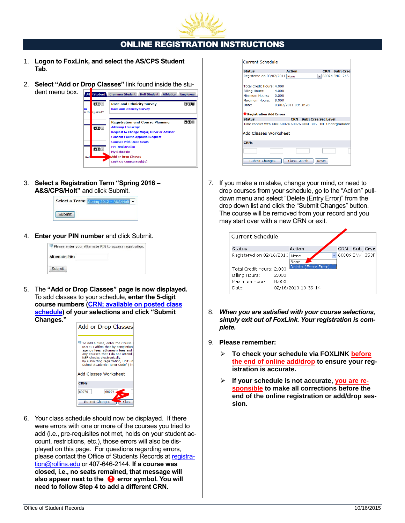

# ONLINE REGISTRATION INSTRUCTIONS

- 1. **Logon to FoxLink, and select the AS/CPS Student Tab**.
- 2. **Select "Add or Drop Classes"** link found inside the stu-



3. **Select a Registration Term "Spring 2016 – A&S/CPS/Holt"** and click Submit.

| Select a Term: Spring 2012 - A&S |
|----------------------------------|
|                                  |

4. **Enter your PIN number** and click Submit.

|                       | Please enter your Alternate PIN to access registration. |
|-----------------------|---------------------------------------------------------|
| <b>Alternate PIN:</b> |                                                         |
| Submit                |                                                         |

5. The **"Add or Drop Classes" page is now displayed.**  To add classes to your schedule, **enter the 5-digit course numbers [\(CRN; available on posted class](http://r-net.rollins.edu/studentrecords/docs/course_list_fall_2011_spring_2012.pdf)  [schedule\)](http://r-net.rollins.edu/studentrecords/docs/course_list_fall_2011_spring_2012.pdf) of your selections and click "Submit Changes."** 



6. Your class schedule should now be displayed. If there were errors with one or more of the courses you tried to add (i.e., pre-requisites not met, holds on your student account, restrictions, etc.), those errors will also be displayed on this page. For questions regarding errors, please contact the Office of Students Records at [registra](mailto:registration@rollins.edu)[tion@rollins.edu](mailto:registration@rollins.edu) or 407-646-2144. **If a course was closed, i.e., no seats remained, that message will**  also appear next to the  $\bullet$  error symbol. You will **need to follow Step 4 to add a different CRN.**

| $\vee$ 60074 ENG 245                                        |
|-------------------------------------------------------------|
|                                                             |
|                                                             |
|                                                             |
|                                                             |
|                                                             |
|                                                             |
|                                                             |
| Time conflict with CRN 60074 60076 COM 305 1M Undergraduate |
|                                                             |
|                                                             |
|                                                             |
|                                                             |

7. If you make a mistake, change your mind, or need to drop courses from your schedule, go to the "Action" pulldown menu and select "Delete (Entry Error)" from the drop down list and click the "Submit Changes" button. The course will be removed from your record and you may start over with a new CRN or exit.

| Current Schedule          |       |                      |                |           |  |
|---------------------------|-------|----------------------|----------------|-----------|--|
| Status                    |       | Action               | CRN            | Subj Crse |  |
| Registered on 02/16/2010  |       | None<br>None         | 60009 ENV 353F |           |  |
| Total Credit Hours: 2.000 |       | Delete (Entry Error) |                |           |  |
| Billing Hours:            | 2.000 |                      |                |           |  |
| Maximum Hours:            | 8.000 |                      |                |           |  |
| Date:                     |       | 02/16/2010 10:39:14  |                |           |  |

- 8. *When you are satisfied with your course selections, simply exit out of FoxLink. Your registration is complete.*
- 9. **Please remember:**
	- **To check your schedule via FOXLINK before the end of online add/drop to ensure your registration is accurate.**
	- **If your schedule is not accurate, you are responsible to make all corrections before the end of the online registration or add/drop session.**